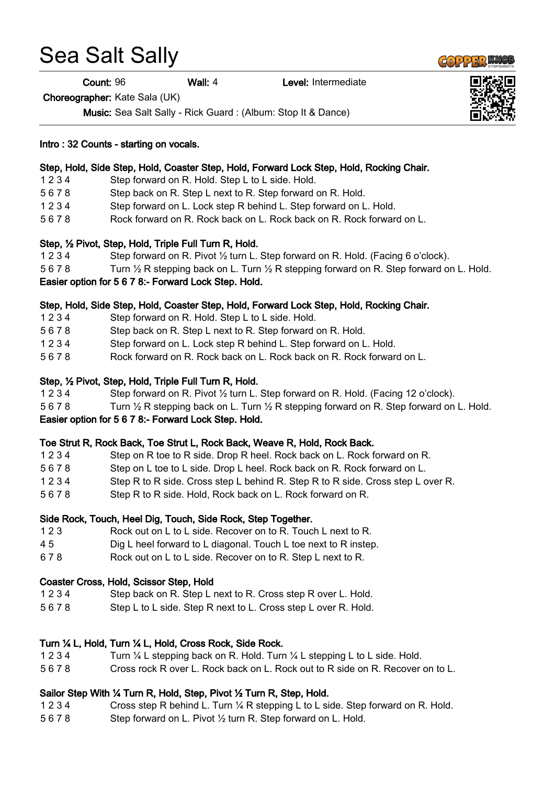# Sea Salt Sally

Count: 96 Wall: 4 Level: Intermediate

Choreographer: Kate Sala (UK)

Music: Sea Salt Sally - Rick Guard : (Album: Stop It & Dance)

#### Intro : 32 Counts - starting on vocals.

### Step, Hold, Side Step, Hold, Coaster Step, Hold, Forward Lock Step, Hold, Rocking Chair.

- 1 2 3 4 Step forward on R. Hold. Step L to L side. Hold.
- 5 6 7 8 Step back on R. Step L next to R. Step forward on R. Hold.
- 1 2 3 4 Step forward on L. Lock step R behind L. Step forward on L. Hold.
- 5 6 7 8 Rock forward on R. Rock back on L. Rock back on R. Rock forward on L.

#### Step, ½ Pivot, Step, Hold, Triple Full Turn R, Hold.

- 1 2 3 4 Step forward on R. Pivot ½ turn L. Step forward on R. Hold. (Facing 6 o'clock).
- 5 6 7 8 Turn 1/2 R stepping back on L. Turn 1/2 R stepping forward on R. Step forward on L. Hold.

## Easier option for 5 6 7 8:- Forward Lock Step. Hold.

#### Step, Hold, Side Step, Hold, Coaster Step, Hold, Forward Lock Step, Hold, Rocking Chair.

- 1 2 3 4 Step forward on R. Hold. Step L to L side. Hold.
- 5 6 7 8 Step back on R. Step L next to R. Step forward on R. Hold.
- 1 2 3 4 Step forward on L. Lock step R behind L. Step forward on L. Hold.
- 5 6 7 8 Rock forward on R. Rock back on L. Rock back on R. Rock forward on L.

#### Step, ½ Pivot, Step, Hold, Triple Full Turn R, Hold.

- 1 2 3 4 Step forward on R. Pivot ½ turn L. Step forward on R. Hold. (Facing 12 o'clock).
- 5 6 7 8 Turn 1/2 R stepping back on L. Turn 1/2 R stepping forward on R. Step forward on L. Hold.

#### Easier option for 5 6 7 8:- Forward Lock Step. Hold.

#### Toe Strut R, Rock Back, Toe Strut L, Rock Back, Weave R, Hold, Rock Back.

| 1234 | Step on R toe to R side. Drop R heel. Rock back on L. Rock forward on R.        |
|------|---------------------------------------------------------------------------------|
| 5678 | Step on L toe to L side. Drop L heel. Rock back on R. Rock forward on L.        |
| 1234 | Step R to R side. Cross step L behind R. Step R to R side. Cross step L over R. |
| 5678 | Step R to R side. Hold, Rock back on L. Rock forward on R.                      |

#### Side Rock, Touch, Heel Dig, Touch, Side Rock, Step Together.

- 1 2 3 Rock out on L to L side. Recover on to R. Touch L next to R.
- 4 5 Dig L heel forward to L diagonal. Touch L toe next to R instep.
- 6 7 8 Rock out on L to L side. Recover on to R. Step L next to R.

#### Coaster Cross, Hold, Scissor Step, Hold

- 1 2 3 4 Step back on R. Step L next to R. Cross step R over L. Hold.
- 5 6 7 8 Step L to L side. Step R next to L. Cross step L over R. Hold.

#### Turn ¼ L, Hold, Turn ¼ L, Hold, Cross Rock, Side Rock.

- 1 2 3 4 Turn ¼ L stepping back on R. Hold. Turn ¼ L stepping L to L side. Hold.
- 5 6 7 8 Cross rock R over L. Rock back on L. Rock out to R side on R. Recover on to L.

#### Sailor Step With ¼ Turn R, Hold, Step, Pivot ½ Turn R, Step, Hold.

- 1 2 3 4 Cross step R behind L. Turn ¼ R stepping L to L side. Step forward on R. Hold.
- 5 6 7 8 Step forward on L. Pivot ½ turn R. Step forward on L. Hold.